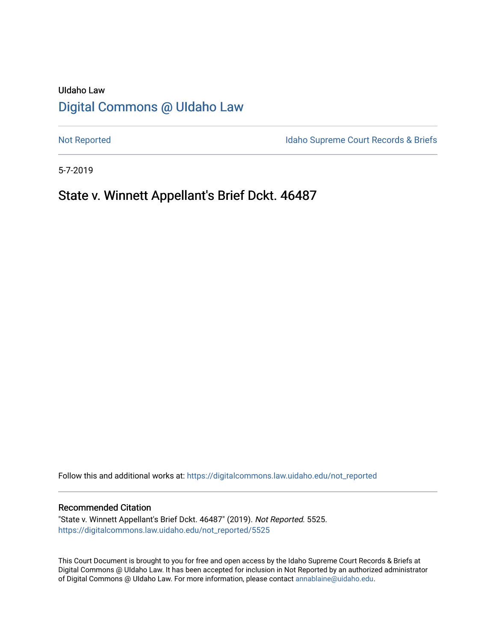# UIdaho Law [Digital Commons @ UIdaho Law](https://digitalcommons.law.uidaho.edu/)

[Not Reported](https://digitalcommons.law.uidaho.edu/not_reported) **Idaho Supreme Court Records & Briefs** 

5-7-2019

# State v. Winnett Appellant's Brief Dckt. 46487

Follow this and additional works at: [https://digitalcommons.law.uidaho.edu/not\\_reported](https://digitalcommons.law.uidaho.edu/not_reported?utm_source=digitalcommons.law.uidaho.edu%2Fnot_reported%2F5525&utm_medium=PDF&utm_campaign=PDFCoverPages) 

#### Recommended Citation

"State v. Winnett Appellant's Brief Dckt. 46487" (2019). Not Reported. 5525. [https://digitalcommons.law.uidaho.edu/not\\_reported/5525](https://digitalcommons.law.uidaho.edu/not_reported/5525?utm_source=digitalcommons.law.uidaho.edu%2Fnot_reported%2F5525&utm_medium=PDF&utm_campaign=PDFCoverPages)

This Court Document is brought to you for free and open access by the Idaho Supreme Court Records & Briefs at Digital Commons @ UIdaho Law. It has been accepted for inclusion in Not Reported by an authorized administrator of Digital Commons @ UIdaho Law. For more information, please contact [annablaine@uidaho.edu](mailto:annablaine@uidaho.edu).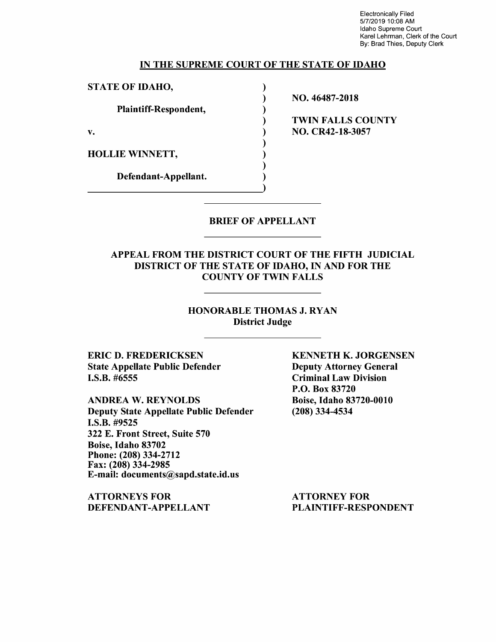Electronically Filed 5/7/2019 10:08 AM Idaho Supreme Court Karel Lehrman, Clerk of the Court By: Brad Thies, Deputy Clerk

#### IN THE SUPREME COURT OF THE STATE OF IDAHO

) ) ) ) ) ) ) ) )

STATE OF IDAHO,

Plaintiff-Respondent,

v.

HOLLIE WINNETT,

Defendant-Appellant.

NO. 46487-2018

TWIN FALLS COUNTY NO. CR42-18-3057

#### BRIEF OF APPELLANT

### APPEAL FROM THE DISTRICT COURT OF THE FIFTH JUDICIAL DISTRICT OF THE STATE OF IDAHO, IN AND FOR THE COUNTY OF TWIN FALLS

#### HONORABLE THOMAS J. RYAN District Judge

ERIC D. FREDERICKSEN State Appellate Public Defender I.S.B. #6555

ANDREA W. REYNOLDS Deputy State Appellate Public Defender I.S.B. #9525 322 E. Front Street, Suite 570 Boise, Idaho 83702 Phone: (208)334-2712 Fax: (208) 334-2985 E-mail: documents@sapd.state.id.us

ATTORNEYS FOR DEFENDANT-APPELLANT KENNETH K. JORGENSEN Deputy Attorney General Criminal Law Division P.O. Box 83720 Boise, Idaho 83720-0010 (208) 334-4534

ATTORNEY FOR PLAINTIFF-RESPONDENT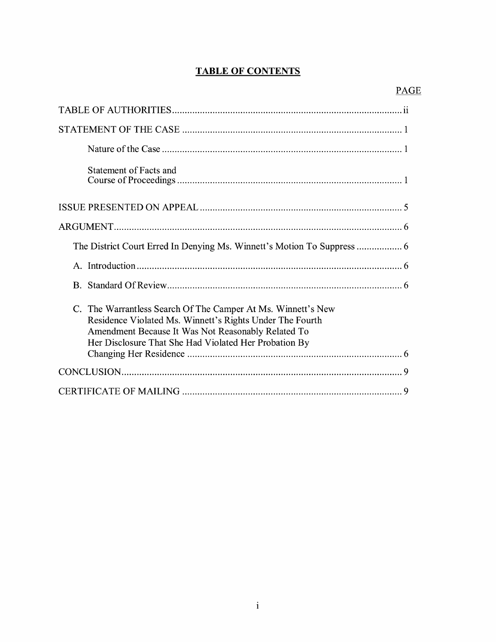## **TABLE OF CONTENTS**

| Statement of Facts and                                                                                                                                                                                                                  |
|-----------------------------------------------------------------------------------------------------------------------------------------------------------------------------------------------------------------------------------------|
|                                                                                                                                                                                                                                         |
|                                                                                                                                                                                                                                         |
|                                                                                                                                                                                                                                         |
|                                                                                                                                                                                                                                         |
|                                                                                                                                                                                                                                         |
| C. The Warrantless Search Of The Camper At Ms. Winnett's New<br>Residence Violated Ms. Winnett's Rights Under The Fourth<br>Amendment Because It Was Not Reasonably Related To<br>Her Disclosure That She Had Violated Her Probation By |
|                                                                                                                                                                                                                                         |
|                                                                                                                                                                                                                                         |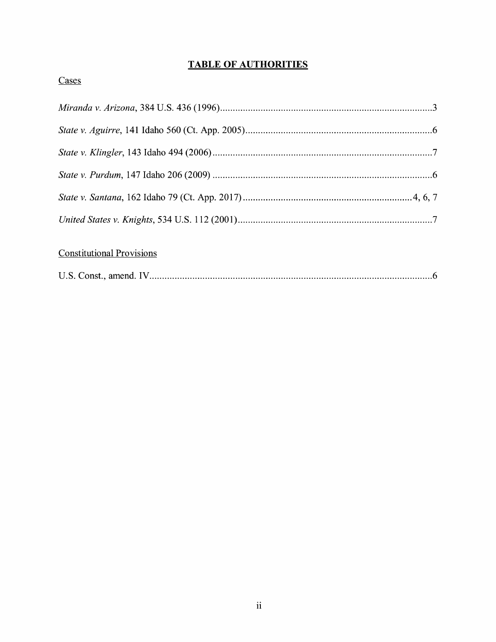## **TABLE OF AUTHORITIES**

## Cases

# **Constitutional Provisions**

|--|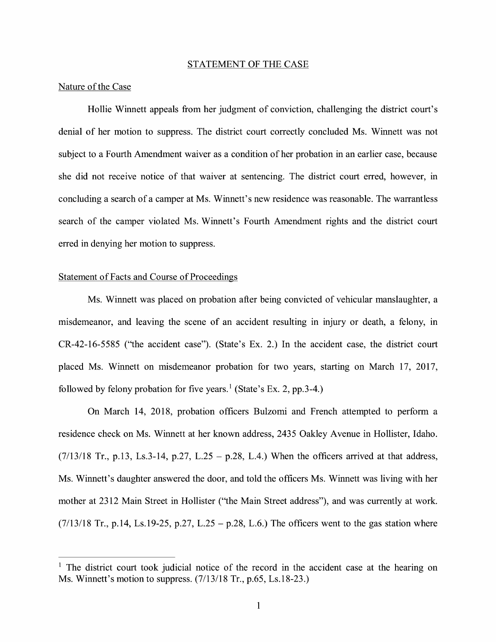#### STATEMENT OF THE CASE

#### Nature of the Case

Hollie Winnett appeals from her judgment of conviction, challenging the district court's denial of her motion to suppress. The district court correctly concluded Ms. Winnett was not subject to a Fourth Amendment waiver as a condition of her probation in an earlier case, because she did not receive notice of that waiver at sentencing. The district court erred, however, in concluding a search of a camper at Ms. Winnett's new residence was reasonable. The warrantless search of the camper violated Ms. Winnett's Fourth Amendment rights and the district court erred in denying her motion to suppress.

#### Statement of Facts and Course of Proceedings

Ms. Winnett was placed on probation after being convicted of vehicular manslaughter, a misdemeanor, and leaving the scene of an accident resulting in injury or death, a felony, in CR-42-16-5585 ("the accident case"). (State's Ex. 2.) In the accident case, the district court placed Ms. Winnett on misdemeanor probation for two years, starting on March 17, 2017, followed by felony probation for five years.<sup>1</sup> (State's Ex. 2, pp. 3-4.)

On March 14, 2018, probation officers Bulzomi and French attempted to perform a residence check on Ms. Winnett at her known address, 2435 Oakley Avenue in Hollister, Idaho.  $(7/13/18$  Tr., p.13, Ls.3-14, p.27, L.25 – p.28, L.4.) When the officers arrived at that address, Ms. Winnett's daughter answered the door, and told the officers Ms. Winnett was living with her mother at 2312 Main Street in Hollister ("the Main Street address"), and was currently at work.  $(7/13/18$  Tr., p. 14, Ls. 19-25, p. 27, L. 25 – p. 28, L. 6.) The officers went to the gas station where

 $<sup>1</sup>$  The district court took judicial notice of the record in the accident case at the hearing on</sup> Ms. Winnett's motion to suppress. (7/13/18 Tr., p.65, Ls.18-23.)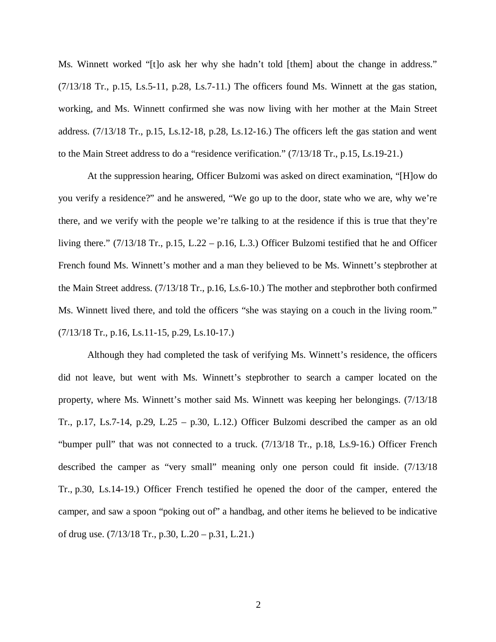Ms. Winnett worked "[t]o ask her why she hadn't told [them] about the change in address."  $(7/13/18$  Tr., p.15, Ls.5-11, p.28, Ls.7-11.) The officers found Ms. Winnett at the gas station, working, and Ms. Winnett confirmed she was now living with her mother at the Main Street address. (7/13/18 Tr., p.15, Ls.12-18, p.28, Ls.12-16.) The officers left the gas station and went to the Main Street address to do a "residence verification." (7/13/18 Tr., p.15, Ls.19-21.)

At the suppression hearing, Officer Bulzomi was asked on direct examination, "[H]ow do you verify a residence?" and he answered, "We go up to the door, state who we are, why we're there, and we verify with the people we're talking to at the residence if this is true that they're living there." (7/13/18 Tr., p.15, L.22 – p.16, L.3.) Officer Bulzomi testified that he and Officer French found Ms. Winnett's mother and a man they believed to be Ms. Winnett's stepbrother at the Main Street address. (7/13/18 Tr., p.16, Ls.6-10.) The mother and stepbrother both confirmed Ms. Winnett lived there, and told the officers "she was staying on a couch in the living room." (7/13/18 Tr., p.16, Ls.11-15, p.29, Ls.10-17.)

Although they had completed the task of verifying Ms. Winnett's residence, the officers did not leave, but went with Ms. Winnett's stepbrother to search a camper located on the property, where Ms. Winnett's mother said Ms. Winnett was keeping her belongings. (7/13/18 Tr., p.17, Ls.7-14, p.29, L.25 – p.30, L.12.) Officer Bulzomi described the camper as an old "bumper pull" that was not connected to a truck. (7/13/18 Tr., p.18, Ls.9-16.) Officer French described the camper as "very small" meaning only one person could fit inside. (7/13/18 Tr., p.30, Ls.14-19.) Officer French testified he opened the door of the camper, entered the camper, and saw a spoon "poking out of" a handbag, and other items he believed to be indicative of drug use. (7/13/18 Tr., p.30, L.20 – p.31, L.21.)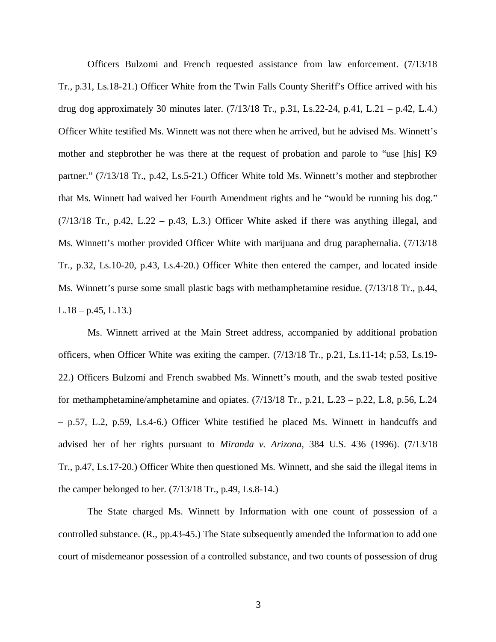Officers Bulzomi and French requested assistance from law enforcement. (7/13/18 Tr., p.31, Ls.18-21.) Officer White from the Twin Falls County Sheriff's Office arrived with his drug dog approximately 30 minutes later. (7/13/18 Tr., p.31, Ls.22-24, p.41, L.21 – p.42, L.4.) Officer White testified Ms. Winnett was not there when he arrived, but he advised Ms. Winnett's mother and stepbrother he was there at the request of probation and parole to "use [his] K9 partner." (7/13/18 Tr., p.42, Ls.5-21.) Officer White told Ms. Winnett's mother and stepbrother that Ms. Winnett had waived her Fourth Amendment rights and he "would be running his dog."  $(7/13/18$  Tr., p.42, L.22 – p.43, L.3.) Officer White asked if there was anything illegal, and Ms. Winnett's mother provided Officer White with marijuana and drug paraphernalia. (7/13/18 Tr., p.32, Ls.10-20, p.43, Ls.4-20.) Officer White then entered the camper, and located inside Ms. Winnett's purse some small plastic bags with methamphetamine residue. (7/13/18 Tr., p.44,  $L.18 - p.45, L.13.)$ 

Ms. Winnett arrived at the Main Street address, accompanied by additional probation officers, when Officer White was exiting the camper. (7/13/18 Tr., p.21, Ls.11-14; p.53, Ls.19- 22.) Officers Bulzomi and French swabbed Ms. Winnett's mouth, and the swab tested positive for methamphetamine/amphetamine and opiates. (7/13/18 Tr., p.21, L.23 – p.22, L.8, p.56, L.24 – p.57, L.2, p.59, Ls.4-6.) Officer White testified he placed Ms. Winnett in handcuffs and advised her of her rights pursuant to *Miranda v. Arizona*, 384 U.S. 436 (1996). (7/13/18 Tr., p.47, Ls.17-20.) Officer White then questioned Ms. Winnett, and she said the illegal items in the camper belonged to her. (7/13/18 Tr., p.49, Ls.8-14.)

The State charged Ms. Winnett by Information with one count of possession of a controlled substance. (R., pp.43-45.) The State subsequently amended the Information to add one court of misdemeanor possession of a controlled substance, and two counts of possession of drug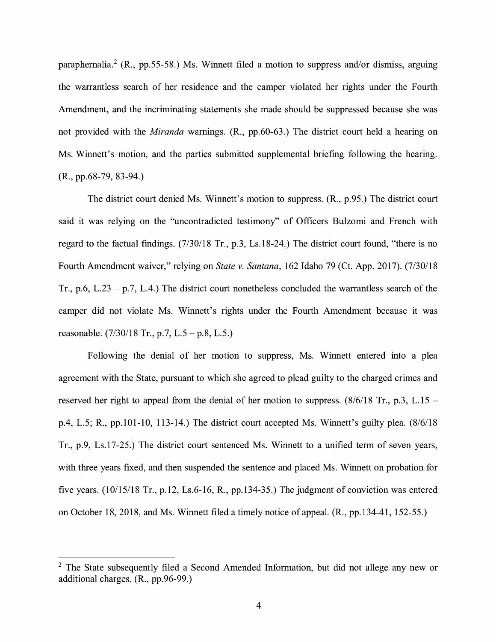paraphernalia.<sup>2</sup> (R., pp.55-58.) Ms. Winnett filed a motion to suppress and/or dismiss, arguing the warrantless search of her residence and the camper violated her rights under the Fourth Amendment, and the incriminating statements she made should be suppressed because she was not provided with the *Miranda* warnings. (R., pp.60-63.) The district court held a hearing on Ms. Winnett's motion, and the parties submitted supplemental briefing following the hearing. **(R.,** pp.68-79, 83-94.)

The district court denied Ms. Winnett's motion to suppress. **(R.,** p.95.) The district court said it was relying on the "uncontradicted testimony" of Officers Bulzomi and French with regard to the factual findings. (7/30/18 Tr., p.3, Ls.18-24.) The district court found, "there is no Fourth Amendment waiver," relying on *State v. Santana,* 162 Idaho 79 (Ct. App. 2017). (7/30/18 Tr., p.6, L.23 – p.7, L.4.) The district court nonetheless concluded the warrantless search of the camper did not violate Ms. Winnett's rights under the Fourth Amendment because it was reasonable. (7/30/18 Tr., p.7, L.5 - p.8, L.5.)

Following the denial of her motion to suppress, Ms. Winnett entered into a plea agreement with the State, pursuant to which she agreed to plead guilty to the charged crimes and reserved her right to appeal from the denial of her motion to suppress.  $(8/6/18)$  Tr., p.3, L.15 p.4, L.5; R., pp.101-10, 113-14.) The district court accepted Ms. Winnett's guilty plea. (8/6/18 Tr., p.9, Ls.17-25.) The district court sentenced Ms. Winnett to a unified term of seven years, with three years fixed, and then suspended the sentence and placed Ms. Winnett on probation for five years. (10/15/18 Tr., p.12, Ls.6-16, R., pp.134-35.) The judgment of conviction was entered on October 18, 2018, and Ms. Winnett filed a timely notice of appeal. (R., pp.134-41, 152-55.)

<sup>&</sup>lt;sup>2</sup> The State subsequently filed a Second Amended Information, but did not allege any new or additional charges. (R., pp.96-99.)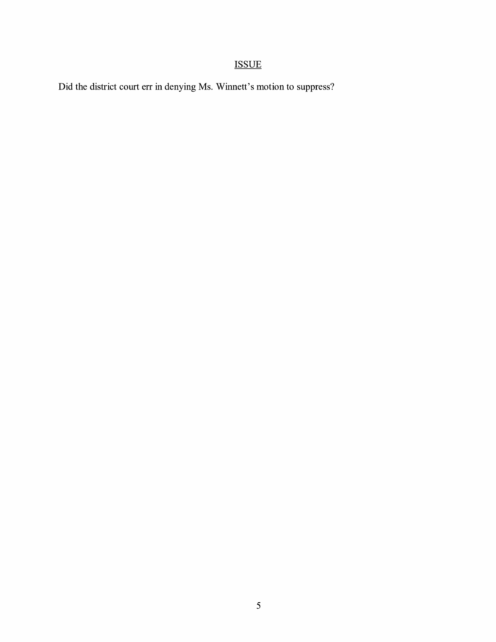# ISSUE

Did the district court err in denying Ms. Winnett's motion to suppress?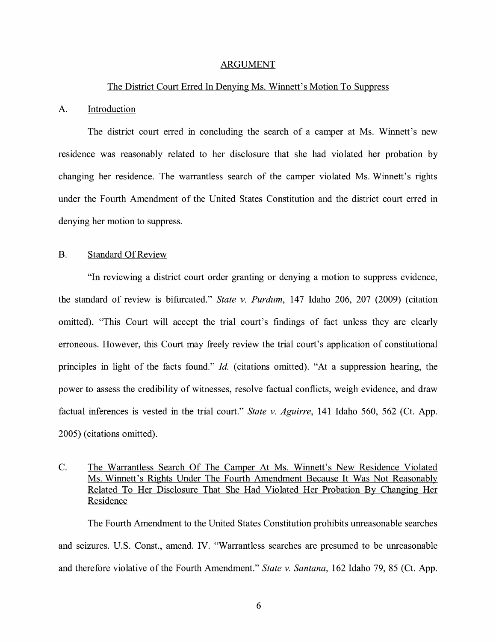#### ARGUMENT

#### The District Court Erred In Denying Ms. Winnett's Motion To Suppress

#### A. Introduction

The district court erred in concluding the search of a camper at Ms. Winnett's new residence was reasonably related to her disclosure that she had violated her probation by changing her residence. The warrantless search of the camper violated Ms. Winnett's rights under the Fourth Amendment of the United States Constitution and the district court erred in denying her motion to suppress.

#### B. Standard Of Review

"In reviewing a district court order granting or denying a motion to suppress evidence, the standard of review is bifurcated." *State v. Purdum,* 147 Idaho 206, 207 (2009) (citation omitted). "This Court will accept the trial court's findings of fact unless they are clearly erroneous. However, this Court may freely review the trial court's application of constitutional principles in light of the facts found." *Id.* (citations omitted). "At a suppression hearing, the power to assess the credibility of witnesses, resolve factual conflicts, weigh evidence, and draw factual inferences is vested in the trial court." *State v. Aguirre,* 141 Idaho 560, 562 (Ct. App. 2005) ( citations omitted).

### C. The Warrantless Search Of The Camper At Ms. Winnett's New Residence Violated Ms. Winnett's Rights Under The Fourth Amendment Because It Was Not Reasonably Related To Her Disclosure That She Had Violated Her Probation By Changing Her Residence

The Fourth Amendment to the United States Constitution prohibits unreasonable searches and seizures. U.S. Const., amend. IV. "Warrantless searches are presumed to be unreasonable and therefore violative of the Fourth Amendment." *State v. Santana,* 162 Idaho 79, 85 (Ct. App.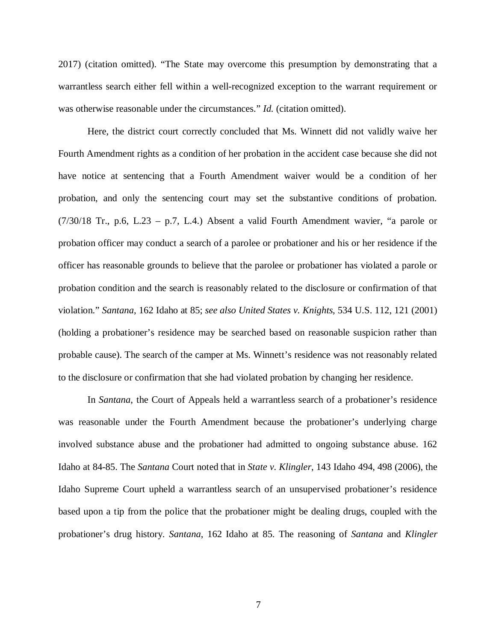2017) (citation omitted). "The State may overcome this presumption by demonstrating that a warrantless search either fell within a well-recognized exception to the warrant requirement or was otherwise reasonable under the circumstances." *Id.* (citation omitted).

Here, the district court correctly concluded that Ms. Winnett did not validly waive her Fourth Amendment rights as a condition of her probation in the accident case because she did not have notice at sentencing that a Fourth Amendment waiver would be a condition of her probation, and only the sentencing court may set the substantive conditions of probation. (7/30/18 Tr., p.6, L.23 – p.7, L.4.) Absent a valid Fourth Amendment wavier, "a parole or probation officer may conduct a search of a parolee or probationer and his or her residence if the officer has reasonable grounds to believe that the parolee or probationer has violated a parole or probation condition and the search is reasonably related to the disclosure or confirmation of that violation." *Santana*, 162 Idaho at 85; *see also United States v. Knights*, 534 U.S. 112, 121 (2001) (holding a probationer's residence may be searched based on reasonable suspicion rather than probable cause). The search of the camper at Ms. Winnett's residence was not reasonably related to the disclosure or confirmation that she had violated probation by changing her residence.

In *Santana*, the Court of Appeals held a warrantless search of a probationer's residence was reasonable under the Fourth Amendment because the probationer's underlying charge involved substance abuse and the probationer had admitted to ongoing substance abuse. 162 Idaho at 84-85. The *Santana* Court noted that in *State v. Klingler*, 143 Idaho 494, 498 (2006), the Idaho Supreme Court upheld a warrantless search of an unsupervised probationer's residence based upon a tip from the police that the probationer might be dealing drugs, coupled with the probationer's drug history. *Santana*, 162 Idaho at 85. The reasoning of *Santana* and *Klingler*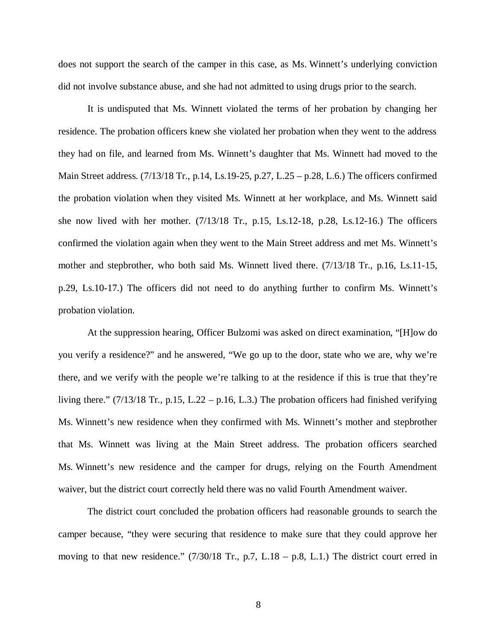does not support the search of the camper in this case, as Ms. Winnett's underlying conviction did not involve substance abuse, and she had not admitted to using drugs prior to the search.

It is undisputed that Ms. Winnett violated the terms of her probation by changing her residence. The probation officers knew she violated her probation when they went to the address they had on file, and learned from Ms. Winnett's daughter that Ms. Winnett had moved to the Main Street address. (7/13/18 Tr., p.14, Ls.19-25, p.27, L.25 – p.28, L.6.) The officers confirmed the probation violation when they visited Ms. Winnett at her workplace, and Ms. Winnett said she now lived with her mother. (7/13/18 Tr., p.15, Ls.12-18, p.28, Ls.12-16.) The officers confirmed the violation again when they went to the Main Street address and met Ms. Winnett's mother and stepbrother, who both said Ms. Winnett lived there. (7/13/18 Tr., p.16, Ls.11-15, p.29, Ls.10-17.) The officers did not need to do anything further to confirm Ms. Winnett's probation violation.

At the suppression hearing, Officer Bulzomi was asked on direct examination, "[H]ow do you verify a residence?" and he answered, "We go up to the door, state who we are, why we're there, and we verify with the people we're talking to at the residence if this is true that they're living there."  $(7/13/18$  Tr., p.15, L.22 – p.16, L.3.) The probation officers had finished verifying Ms. Winnett's new residence when they confirmed with Ms. Winnett's mother and stepbrother that Ms. Winnett was living at the Main Street address. The probation officers searched Ms. Winnett's new residence and the camper for drugs, relying on the Fourth Amendment waiver, but the district court correctly held there was no valid Fourth Amendment waiver.

The district court concluded the probation officers had reasonable grounds to search the camper because, "they were securing that residence to make sure that they could approve her moving to that new residence." (7/30/18 Tr., p.7, L.18 – p.8, L.1.) The district court erred in